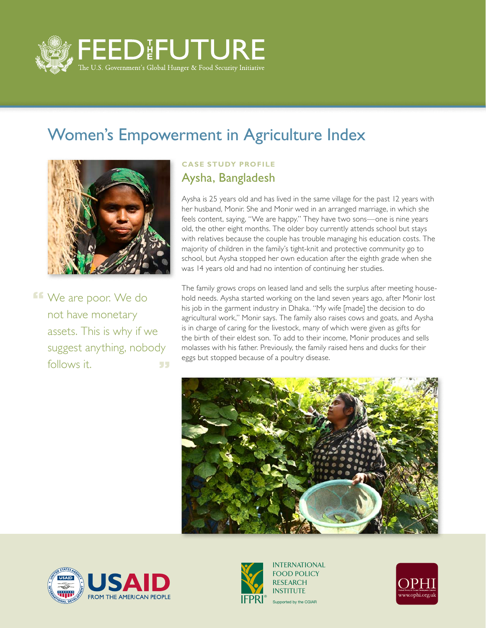

## Women's Empowerment in Agriculture Index



**ff** We are poor. We do not have monetary assets. This is why if we suggest anything, nobody follows it. 55

## **Case Study Profile** Aysha, Bangladesh

Aysha is 25 years old and has lived in the same village for the past 12 years with her husband, Monir. She and Monir wed in an arranged marriage, in which she feels content, saying, "We are happy." They have two sons—one is nine years old, the other eight months. The older boy currently attends school but stays with relatives because the couple has trouble managing his education costs. The majority of children in the family's tight-knit and protective community go to school, but Aysha stopped her own education after the eighth grade when she was 14 years old and had no intention of continuing her studies.

The family grows crops on leased land and sells the surplus after meeting household needs. Aysha started working on the land seven years ago, after Monir lost his job in the garment industry in Dhaka. "My wife [made] the decision to do agricultural work," Monir says. The family also raises cows and goats, and Aysha is in charge of caring for the livestock, many of which were given as gifts for the birth of their eldest son. To add to their income, Monir produces and sells molasses with his father. Previously, the family raised hens and ducks for their eggs but stopped because of a poultry disease.







Supported by the CGIAR INTERNATIONAL FOOD POLICY RESEARCH **INSTITUTE**